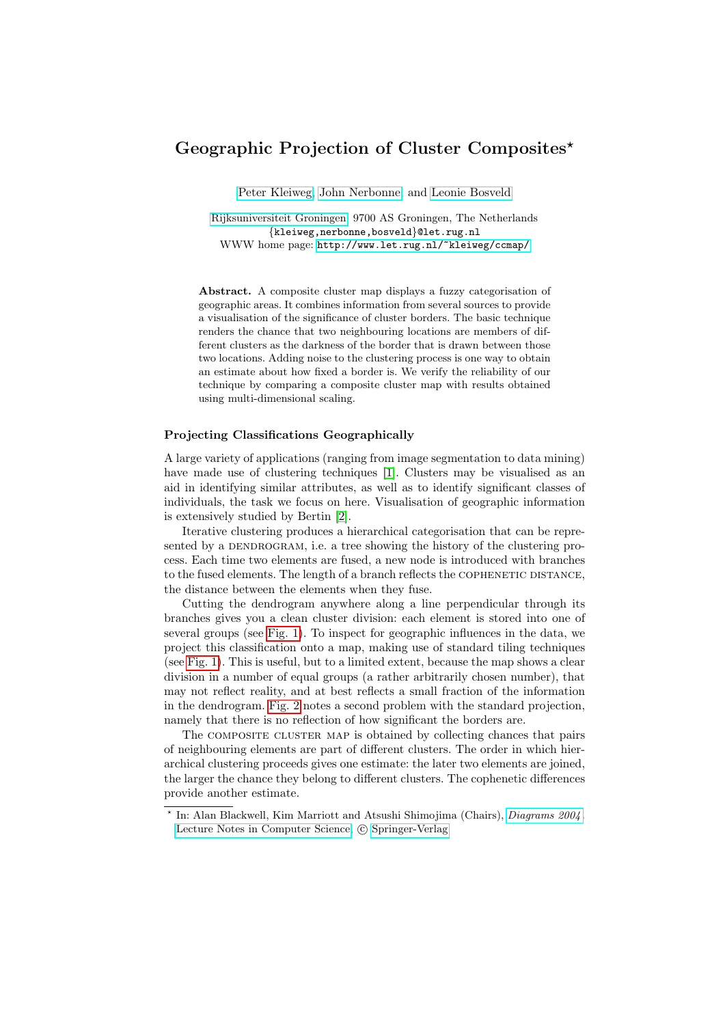## Geographic Projection of Cluster Composites?

[Peter Kleiweg,](http://www.let.rug.nl/~kleiweg/) [John Nerbonne,](http://www.let.rug.nl/~nerbonne/) and [Leonie Bosveld](http://www.let.rug.nl/~bosveld/)

[Rijksuniversiteit Groningen,](http://www.rug.nl/) 9700 AS Groningen, The Netherlands {kleiweg,nerbonne,bosveld}@let.rug.nl WWW home page: <http://www.let.rug.nl/~kleiweg/ccmap/>

Abstract. A composite cluster map displays a fuzzy categorisation of geographic areas. It combines information from several sources to provide a visualisation of the significance of cluster borders. The basic technique renders the chance that two neighbouring locations are members of different clusters as the darkness of the border that is drawn between those two locations. Adding noise to the clustering process is one way to obtain an estimate about how fixed a border is. We verify the reliability of our technique by comparing a composite cluster map with results obtained using multi-dimensional scaling.

## Projecting Classifications Geographically

A large variety of applications (ranging from image segmentation to data mining) have made use of clustering techniques [\[1\]](#page-2-0). Clusters may be visualised as an aid in identifying similar attributes, as well as to identify significant classes of individuals, the task we focus on here. Visualisation of geographic information is extensively studied by Bertin [\[2\]](#page-2-1).

Iterative clustering produces a hierarchical categorisation that can be represented by a DENDROGRAM, i.e. a tree showing the history of the clustering process. Each time two elements are fused, a new node is introduced with branches to the fused elements. The length of a branch reflects the COPHENETIC DISTANCE, the distance between the elements when they fuse.

Cutting the dendrogram anywhere along a line perpendicular through its branches gives you a clean cluster division: each element is stored into one of several groups (see [Fig. 1\)](#page-1-0). To inspect for geographic influences in the data, we project this classification onto a map, making use of standard tiling techniques (see [Fig. 1\)](#page-1-0). This is useful, but to a limited extent, because the map shows a clear division in a number of equal groups (a rather arbitrarily chosen number), that may not reflect reality, and at best reflects a small fraction of the information in the dendrogram. [Fig. 2](#page-1-1) notes a second problem with the standard projection, namely that there is no reflection of how significant the borders are.

The COMPOSITE CLUSTER MAP is obtained by collecting chances that pairs of neighbouring elements are part of different clusters. The order in which hierarchical clustering proceeds gives one estimate: the later two elements are joined, the larger the chance they belong to different clusters. The cophenetic differences provide another estimate.

<sup>?</sup> In: Alan Blackwell, Kim Marriott and Atsushi Shimojima (Chairs), [Diagrams 2004](http://www.csse.monash.edu.au/protect unhbox voidb@x penalty @M  {}d2k4/) . [Lecture Notes in Computer Science,](http://www.springer.de/comp/lncs/) © [Springer-Verlag](http://www.springer.de/)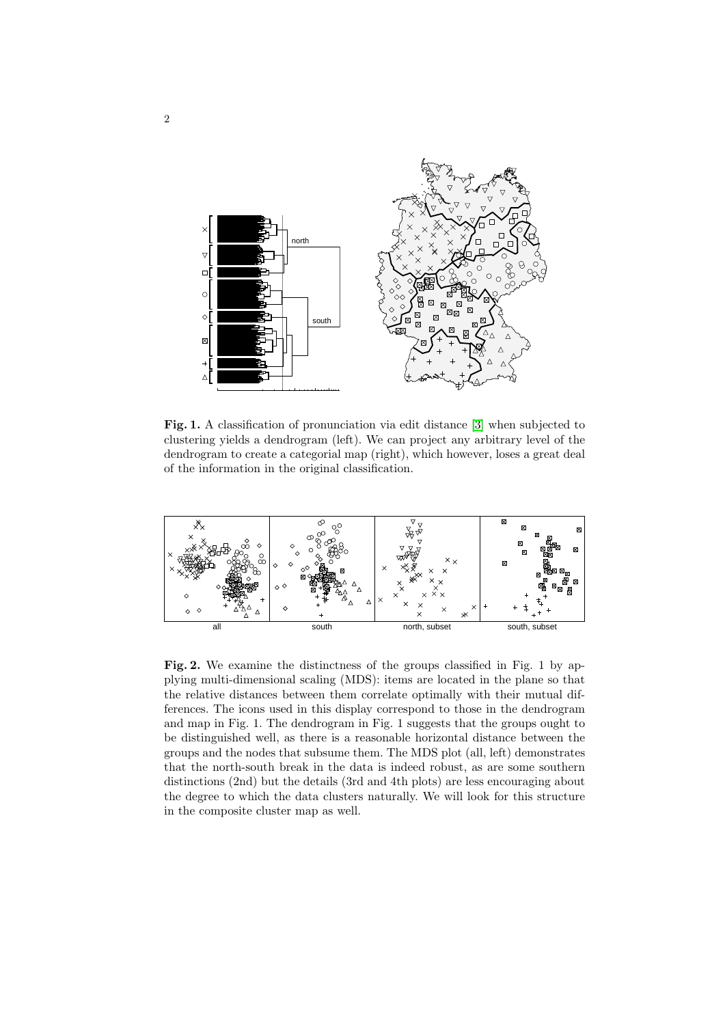<span id="page-1-0"></span>

Fig. 1. A classification of pronunciation via edit distance [\[3\]](#page-2-2) when subjected to clustering yields a dendrogram (left). We can project any arbitrary level of the dendrogram to create a categorial map (right), which however, loses a great deal of the information in the original classification.

<span id="page-1-1"></span>

Fig. 2. We examine the distinctness of the groups classified in Fig. 1 by applying multi-dimensional scaling (MDS): items are located in the plane so that the relative distances between them correlate optimally with their mutual differences. The icons used in this display correspond to those in the dendrogram and map in Fig. 1. The dendrogram in Fig. 1 suggests that the groups ought to be distinguished well, as there is a reasonable horizontal distance between the groups and the nodes that subsume them. The MDS plot (all, left) demonstrates that the north-south break in the data is indeed robust, as are some southern distinctions (2nd) but the details (3rd and 4th plots) are less encouraging about the degree to which the data clusters naturally. We will look for this structure in the composite cluster map as well.